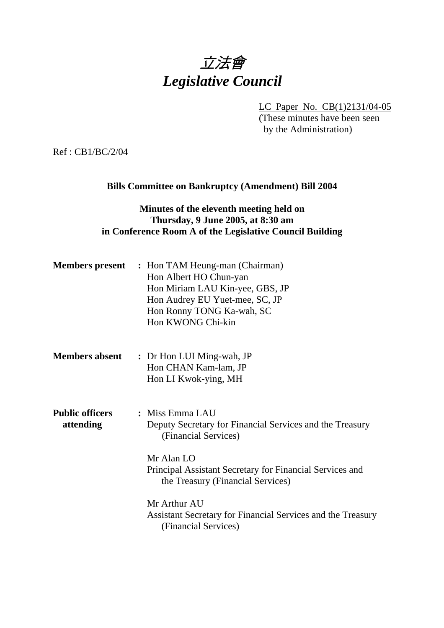# 立法會 *Legislative Council*

LC Paper No. CB(1)2131/04-05

(These minutes have been seen by the Administration)

Ref : CB1/BC/2/04

## **Bills Committee on Bankruptcy (Amendment) Bill 2004**

# **Minutes of the eleventh meeting held on Thursday, 9 June 2005, at 8:30 am in Conference Room A of the Legislative Council Building**

| <b>Members present</b>              | : Hon TAM Heung-man (Chairman)<br>Hon Albert HO Chun-yan<br>Hon Miriam LAU Kin-yee, GBS, JP<br>Hon Audrey EU Yuet-mee, SC, JP<br>Hon Ronny TONG Ka-wah, SC<br>Hon KWONG Chi-kin                                    |
|-------------------------------------|--------------------------------------------------------------------------------------------------------------------------------------------------------------------------------------------------------------------|
| <b>Members absent</b>               | : Dr Hon LUI Ming-wah, JP<br>Hon CHAN Kam-lam, JP<br>Hon LI Kwok-ying, MH                                                                                                                                          |
| <b>Public officers</b><br>attending | : Miss Emma LAU<br>Deputy Secretary for Financial Services and the Treasury<br>(Financial Services)<br>Mr Alan LO<br>Principal Assistant Secretary for Financial Services and<br>the Treasury (Financial Services) |
|                                     | Mr Arthur AU<br>Assistant Secretary for Financial Services and the Treasury<br>(Financial Services)                                                                                                                |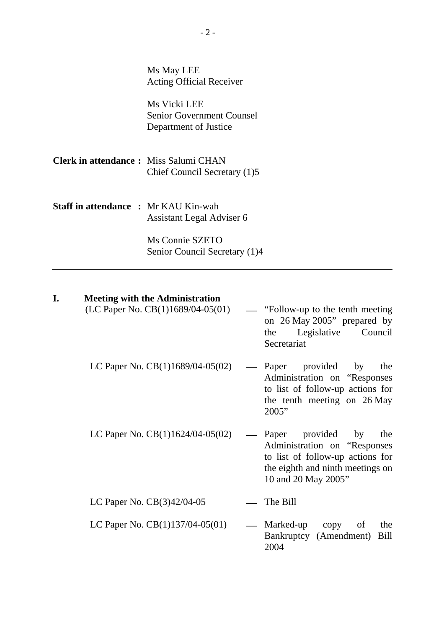Ms May LEE Acting Official Receiver

Ms Vicki LEE Senior Government Counsel Department of Justice

**Clerk in attendance :** Miss Salumi CHAN Chief Council Secretary (1)5

**Staff in attendance :** Mr KAU Kin-wah Assistant Legal Adviser 6

> Ms Connie SZETO Senior Council Secretary (1)4

# **I. Meeting with the Administration**

| (LC Paper No. $CB(1)1689/04-05(01)$ ) | "Follow-up to the tenth meeting"<br>on 26 May 2005" prepared by<br>Legislative<br>Council<br>the<br>Secretariat                                                   |
|---------------------------------------|-------------------------------------------------------------------------------------------------------------------------------------------------------------------|
| LC Paper No. $CB(1)1689/04-05(02)$    | Paper provided by<br>the<br>$\overline{\phantom{0}}$<br>Administration on "Responses"<br>to list of follow-up actions for<br>the tenth meeting on 26 May<br>2005" |
| LC Paper No. $CB(1)1624/04-05(02)$    | Paper provided by<br>the<br>Administration on "Responses"<br>to list of follow-up actions for<br>the eighth and ninth meetings on<br>10 and 20 May 2005"          |
| LC Paper No. $CB(3)42/04-05$          | The Bill                                                                                                                                                          |
| LC Paper No. $CB(1)137/04-05(01)$     | — Marked-up<br>the<br>copy<br>of<br>Bankruptcy (Amendment) Bill<br>2004                                                                                           |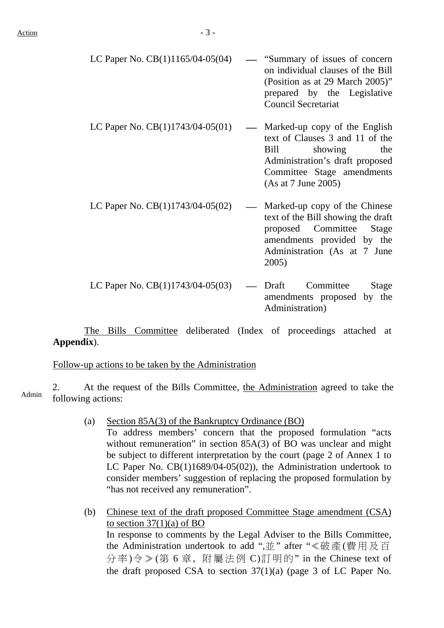| LC Paper No. $CB(1)1165/04-05(04)$ — "Summary of issues of concern |                            |  |                                   |
|--------------------------------------------------------------------|----------------------------|--|-----------------------------------|
|                                                                    |                            |  | on individual clauses of the Bill |
|                                                                    |                            |  | (Position as at 29 March 2005)"   |
|                                                                    |                            |  | prepared by the Legislative       |
|                                                                    | <b>Council Secretariat</b> |  |                                   |
|                                                                    |                            |  |                                   |

- LC Paper No.  $CB(1)1743/04-05(01)$  Marked-up copy of the English text of Clauses 3 and 11 of the Bill showing the Administration's draft proposed Committee Stage amendments (As at 7 June 2005)
- LC Paper No.  $CB(1)1743/04-05(02)$  Marked-up copy of the Chinese text of the Bill showing the draft proposed Committee Stage amendments provided by the Administration (As at 7 June 2005)
- LC Paper No.  $CB(1)1743/04-05(03)$  Draft Committee Stage amendments proposed by the Administration)

 The Bills Committee deliberated (Index of proceedings attached at **Appendix**).

Follow-up actions to be taken by the Administration

2. At the request of the Bills Committee, the Administration agreed to take the following actions:

- (a) Section 85A(3) of the Bankruptcy Ordinance (BO) To address members' concern that the proposed formulation "acts without remuneration" in section 85A(3) of BO was unclear and might be subject to different interpretation by the court (page 2 of Annex 1 to LC Paper No. CB(1)1689/04-05(02)), the Administration undertook to consider members' suggestion of replacing the proposed formulation by "has not received any remuneration".
- (b) Chinese text of the draft proposed Committee Stage amendment (CSA) to section  $37(1)(a)$  of BO In response to comments by the Legal Adviser to the Bills Committee, the Administration undertook to add ",並" after "≪破產(費用及百 分率)令≫(第 6 章, 附屬法例 C)訂明的" in the Chinese text of the draft proposed CSA to section 37(1)(a) (page 3 of LC Paper No.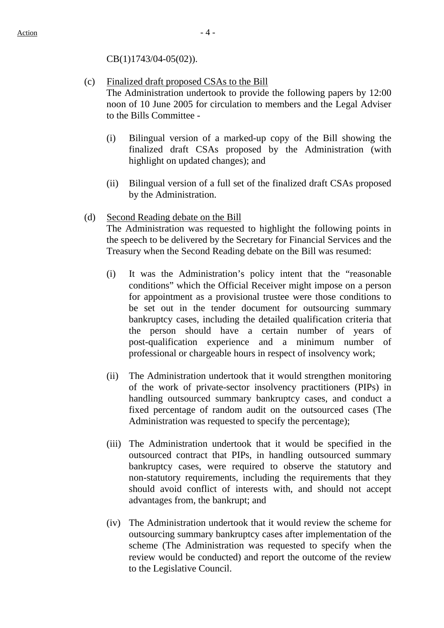CB(1)1743/04-05(02)).

- (c) Finalized draft proposed CSAs to the Bill The Administration undertook to provide the following papers by 12:00 noon of 10 June 2005 for circulation to members and the Legal Adviser to the Bills Committee -
	- (i) Bilingual version of a marked-up copy of the Bill showing the finalized draft CSAs proposed by the Administration (with highlight on updated changes); and
	- (ii) Bilingual version of a full set of the finalized draft CSAs proposed by the Administration.

#### (d) Second Reading debate on the Bill

The Administration was requested to highlight the following points in the speech to be delivered by the Secretary for Financial Services and the Treasury when the Second Reading debate on the Bill was resumed:

- (i) It was the Administration's policy intent that the "reasonable conditions" which the Official Receiver might impose on a person for appointment as a provisional trustee were those conditions to be set out in the tender document for outsourcing summary bankruptcy cases, including the detailed qualification criteria that the person should have a certain number of years of post-qualification experience and a minimum number of professional or chargeable hours in respect of insolvency work;
- (ii) The Administration undertook that it would strengthen monitoring of the work of private-sector insolvency practitioners (PIPs) in handling outsourced summary bankruptcy cases, and conduct a fixed percentage of random audit on the outsourced cases (The Administration was requested to specify the percentage);
- (iii) The Administration undertook that it would be specified in the outsourced contract that PIPs, in handling outsourced summary bankruptcy cases, were required to observe the statutory and non-statutory requirements, including the requirements that they should avoid conflict of interests with, and should not accept advantages from, the bankrupt; and
- (iv) The Administration undertook that it would review the scheme for outsourcing summary bankruptcy cases after implementation of the scheme (The Administration was requested to specify when the review would be conducted) and report the outcome of the review to the Legislative Council.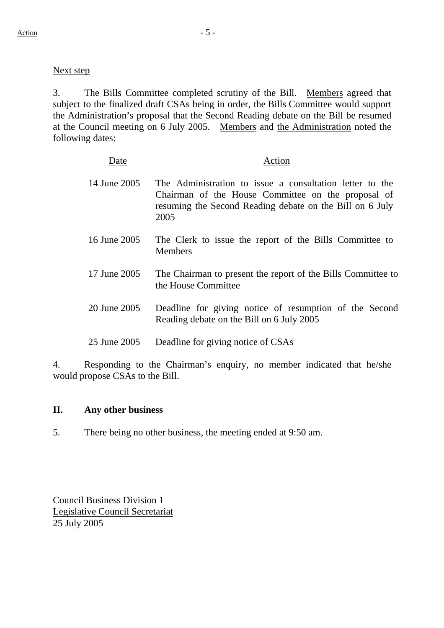### Next step

3. The Bills Committee completed scrutiny of the Bill. Members agreed that subject to the finalized draft CSAs being in order, the Bills Committee would support the Administration's proposal that the Second Reading debate on the Bill be resumed at the Council meeting on 6 July 2005. Members and the Administration noted the following dates:

| Date         | Action                                                                                                                                                                             |
|--------------|------------------------------------------------------------------------------------------------------------------------------------------------------------------------------------|
| 14 June 2005 | The Administration to issue a consultation letter to the<br>Chairman of the House Committee on the proposal of<br>resuming the Second Reading debate on the Bill on 6 July<br>2005 |
| 16 June 2005 | The Clerk to issue the report of the Bills Committee to<br><b>Members</b>                                                                                                          |
| 17 June 2005 | The Chairman to present the report of the Bills Committee to<br>the House Committee                                                                                                |
| 20 June 2005 | Deadline for giving notice of resumption of the Second<br>Reading debate on the Bill on 6 July 2005                                                                                |
| 25 June 2005 | Deadline for giving notice of CSAs                                                                                                                                                 |

4. Responding to the Chairman's enquiry, no member indicated that he/she would propose CSAs to the Bill.

#### **II. Any other business**

5. There being no other business, the meeting ended at 9:50 am.

Council Business Division 1 Legislative Council Secretariat 25 July 2005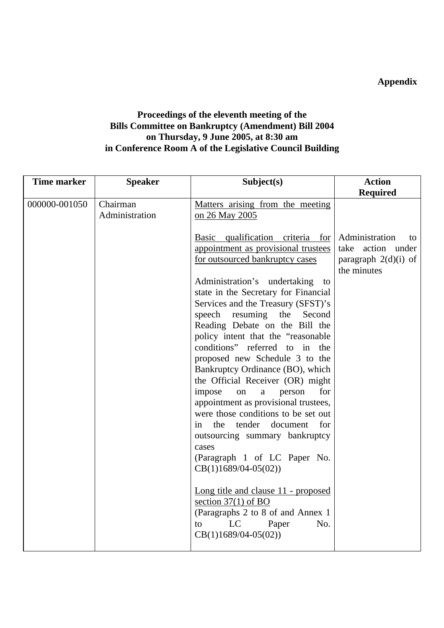# **Appendix**

# **Proceedings of the eleventh meeting of the Bills Committee on Bankruptcy (Amendment) Bill 2004 on Thursday, 9 June 2005, at 8:30 am in Conference Room A of the Legislative Council Building**

| <b>Time marker</b> | <b>Speaker</b>             | Subject(s)                                                                                                                                                                                                                                                                                                                                                                                 | <b>Action</b>                                                                      |
|--------------------|----------------------------|--------------------------------------------------------------------------------------------------------------------------------------------------------------------------------------------------------------------------------------------------------------------------------------------------------------------------------------------------------------------------------------------|------------------------------------------------------------------------------------|
|                    |                            |                                                                                                                                                                                                                                                                                                                                                                                            | <b>Required</b>                                                                    |
| 000000-001050      | Chairman<br>Administration | Matters arising from the meeting<br>on 26 May 2005<br>Basic qualification criteria for<br>appointment as provisional trustees<br>for outsourced bankruptcy cases<br>Administration's undertaking to<br>state in the Secretary for Financial<br>Services and the Treasury (SFST)'s<br>speech resuming the<br>Second<br>Reading Debate on the Bill the<br>policy intent that the "reasonable | Administration<br>to<br>take action under<br>paragraph $2(d)(i)$ of<br>the minutes |
|                    |                            | conditions" referred to in the<br>proposed new Schedule 3 to the<br>Bankruptcy Ordinance (BO), which<br>the Official Receiver (OR) might<br>impose<br>on<br>a<br>person<br>for<br>appointment as provisional trustees,<br>were those conditions to be set out<br>the tender document<br>for<br>in                                                                                          |                                                                                    |
|                    |                            | outsourcing summary bankruptcy<br>cases<br>(Paragraph 1 of LC Paper No.<br>$CB(1)1689/04-05(02))$<br>Long title and clause 11 - proposed<br>section $37(1)$ of BO<br>(Paragraphs 2 to 8 of and Annex 1<br>LC<br>Paper<br>No.<br>to                                                                                                                                                         |                                                                                    |
|                    |                            | $CB(1)1689/04-05(02))$                                                                                                                                                                                                                                                                                                                                                                     |                                                                                    |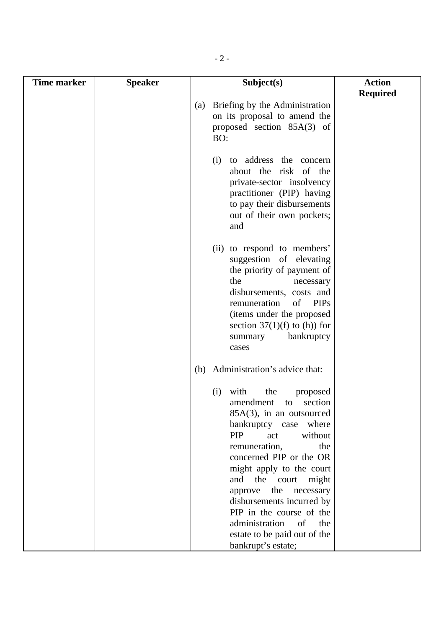| <b>Time marker</b> | <b>Speaker</b> | Subject(s)                                                                                                                                                                                                                                                                                                                                                                                                                                       | <b>Action</b>   |
|--------------------|----------------|--------------------------------------------------------------------------------------------------------------------------------------------------------------------------------------------------------------------------------------------------------------------------------------------------------------------------------------------------------------------------------------------------------------------------------------------------|-----------------|
|                    |                |                                                                                                                                                                                                                                                                                                                                                                                                                                                  | <b>Required</b> |
|                    |                | Briefing by the Administration<br>(a)<br>on its proposal to amend the<br>proposed section 85A(3) of<br>BO:                                                                                                                                                                                                                                                                                                                                       |                 |
|                    |                | to address the concern<br>(i)<br>about the risk of the<br>private-sector insolvency<br>practitioner (PIP) having<br>to pay their disbursements<br>out of their own pockets;<br>and                                                                                                                                                                                                                                                               |                 |
|                    |                | (ii) to respond to members'<br>suggestion of elevating<br>the priority of payment of<br>the<br>necessary<br>disbursements, costs and<br>remuneration<br><b>PIPs</b><br>of<br>(items under the proposed<br>section $37(1)(f)$ to (h)) for<br>bankruptcy<br>summary<br>cases                                                                                                                                                                       |                 |
|                    |                | Administration's advice that:<br>(b)                                                                                                                                                                                                                                                                                                                                                                                                             |                 |
|                    |                | (i)<br>with<br>the<br>proposed<br>section<br>amendment<br>to<br>$85A(3)$ , in an outsourced<br>bankruptcy case where<br><b>PIP</b><br>act<br>without<br>remuneration,<br>the<br>concerned PIP or the OR<br>might apply to the court<br>the<br>court<br>might<br>and<br>the<br>necessary<br>approve<br>disbursements incurred by<br>PIP in the course of the<br>administration<br>of<br>the<br>estate to be paid out of the<br>bankrupt's estate; |                 |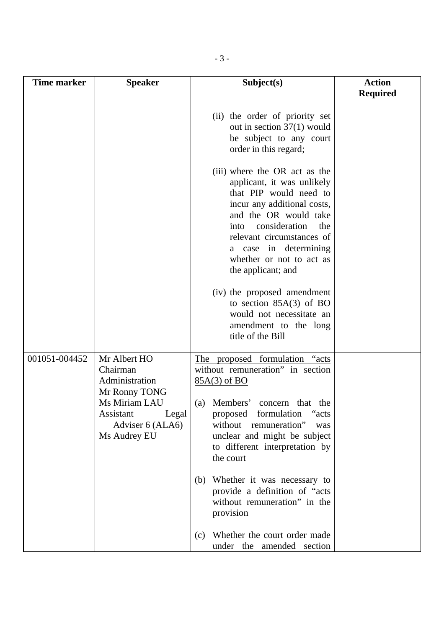| <b>Time marker</b> | <b>Speaker</b>                                                          | Subject(s)                                                                                                                                                                                                                                                                                                                                        | <b>Action</b>   |
|--------------------|-------------------------------------------------------------------------|---------------------------------------------------------------------------------------------------------------------------------------------------------------------------------------------------------------------------------------------------------------------------------------------------------------------------------------------------|-----------------|
|                    |                                                                         |                                                                                                                                                                                                                                                                                                                                                   | <b>Required</b> |
|                    |                                                                         | (ii) the order of priority set<br>out in section $37(1)$ would<br>be subject to any court<br>order in this regard;                                                                                                                                                                                                                                |                 |
|                    |                                                                         | (iii) where the OR act as the<br>applicant, it was unlikely<br>that PIP would need to<br>incur any additional costs,<br>and the OR would take<br>consideration<br>the<br>into<br>relevant circumstances of<br>a case in determining<br>whether or not to act as<br>the applicant; and<br>(iv) the proposed amendment<br>to section $85A(3)$ of BO |                 |
|                    |                                                                         | would not necessitate an<br>amendment to the long<br>title of the Bill                                                                                                                                                                                                                                                                            |                 |
| 001051-004452      | Mr Albert HO<br>Chairman<br>Administration<br>Mr Ronny TONG             | The proposed formulation "acts<br>without remuneration" in section<br>85A(3) of BO                                                                                                                                                                                                                                                                |                 |
|                    | Ms Miriam LAU<br>Assistant<br>Legal<br>Adviser 6 (ALA6)<br>Ms Audrey EU | (a) Members'<br>concern that the<br>proposed formulation<br>"acts<br>without remuneration"<br>was<br>unclear and might be subject<br>to different interpretation by<br>the court                                                                                                                                                                  |                 |
|                    |                                                                         | Whether it was necessary to<br>(b)<br>provide a definition of "acts"<br>without remuneration" in the<br>provision                                                                                                                                                                                                                                 |                 |
|                    |                                                                         | Whether the court order made<br>(c)<br>under the amended section                                                                                                                                                                                                                                                                                  |                 |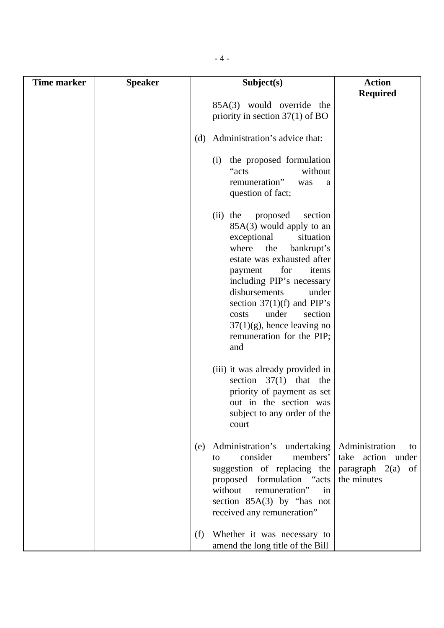| <b>Time marker</b> | <b>Speaker</b> | Subject(s)                                                                                                                                                                                                                                                                                                                                                                   | <b>Action</b>                                                                   |
|--------------------|----------------|------------------------------------------------------------------------------------------------------------------------------------------------------------------------------------------------------------------------------------------------------------------------------------------------------------------------------------------------------------------------------|---------------------------------------------------------------------------------|
|                    |                | 85A(3) would override the<br>priority in section $37(1)$ of BO                                                                                                                                                                                                                                                                                                               | <b>Required</b>                                                                 |
|                    |                | Administration's advice that:<br>(d)                                                                                                                                                                                                                                                                                                                                         |                                                                                 |
|                    |                | the proposed formulation<br>(i)<br>without<br>"acts<br>remuneration"<br>was<br>question of fact;                                                                                                                                                                                                                                                                             | a                                                                               |
|                    |                | the<br>proposed<br>section<br>(ii)<br>$85A(3)$ would apply to an<br>exceptional<br>situation<br>the<br>where<br>bankrupt's<br>estate was exhausted after<br>for<br>payment<br>items<br>including PIP's necessary<br>disbursements<br>under<br>section $37(1)(f)$ and PIP's<br>under<br>section<br>costs<br>$37(1)(g)$ , hence leaving no<br>remuneration for the PIP;<br>and |                                                                                 |
|                    |                | (iii) it was already provided in<br>section $37(1)$ that the<br>priority of payment as set<br>out in the section was<br>subject to any order of the<br>court                                                                                                                                                                                                                 |                                                                                 |
|                    |                | Administration's undertaking<br>(e)<br>consider<br>members'<br>to<br>suggestion of replacing the<br>proposed formulation "acts<br>without<br>remuneration"<br>in<br>section $85A(3)$ by "has not<br>received any remuneration"                                                                                                                                               | Administration<br>to<br>take action under<br>paragraph $2(a)$ of<br>the minutes |
|                    |                | Whether it was necessary to<br>(f)<br>amend the long title of the Bill                                                                                                                                                                                                                                                                                                       |                                                                                 |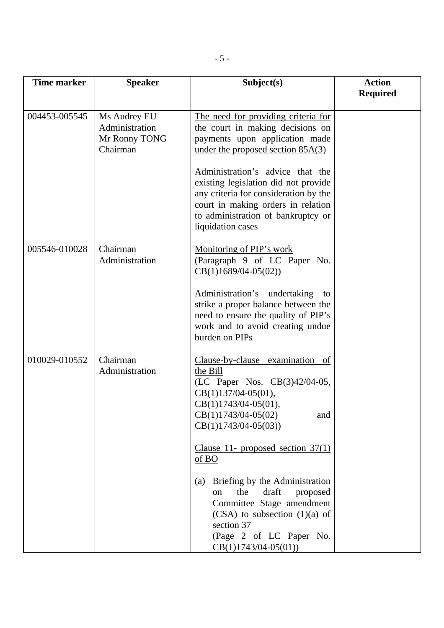| <b>Time marker</b> | <b>Speaker</b>                                              | Subject(s)                                                                                                                                                                                                                                                                                                                                                                                                                                                                                    | <b>Action</b>   |
|--------------------|-------------------------------------------------------------|-----------------------------------------------------------------------------------------------------------------------------------------------------------------------------------------------------------------------------------------------------------------------------------------------------------------------------------------------------------------------------------------------------------------------------------------------------------------------------------------------|-----------------|
|                    |                                                             |                                                                                                                                                                                                                                                                                                                                                                                                                                                                                               | <b>Required</b> |
| 004453-005545      | Ms Audrey EU<br>Administration<br>Mr Ronny TONG<br>Chairman | The need for providing criteria for<br>the court in making decisions on<br>payments upon application made<br>under the proposed section $85A(3)$<br>Administration's advice that the<br>existing legislation did not provide<br>any criteria for consideration by the<br>court in making orders in relation<br>to administration of bankruptcy or<br>liquidation cases                                                                                                                        |                 |
| 005546-010028      | Chairman<br>Administration                                  | Monitoring of PIP's work<br>(Paragraph 9 of LC Paper No.<br>$CB(1)1689/04-05(02))$<br>Administration's undertaking<br>to<br>strike a proper balance between the<br>need to ensure the quality of PIP's<br>work and to avoid creating undue<br>burden on PIPs                                                                                                                                                                                                                                  |                 |
| 010029-010552      | Chairman<br>Administration                                  | Clause-by-clause examination of<br>the Bill<br>(LC Paper Nos. CB(3)42/04-05,<br>$CB(1)137/04-05(01)$ ,<br>$CB(1)1743/04-05(01)$ ,<br>$CB(1)1743/04-05(02)$<br>and<br>$CB(1)1743/04-05(03))$<br>Clause 11- proposed section $37(1)$<br>$\underline{\mathrm{of}}$ BO<br>Briefing by the Administration<br>(a)<br>draft<br>the<br>proposed<br><sub>on</sub><br>Committee Stage amendment<br>$(CSA)$ to subsection $(1)(a)$ of<br>section 37<br>(Page 2 of LC Paper No.<br>$CB(1)1743/04-05(01))$ |                 |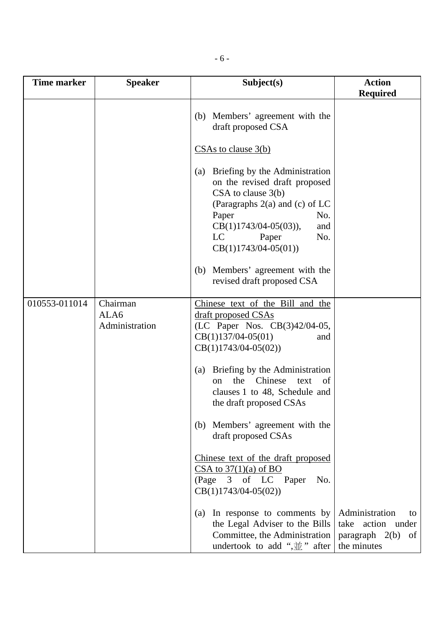| <b>Time marker</b> | <b>Speaker</b>                     | Subject(s)                                                                                                                                                                                                                             | <b>Action</b><br><b>Required</b>                                              |
|--------------------|------------------------------------|----------------------------------------------------------------------------------------------------------------------------------------------------------------------------------------------------------------------------------------|-------------------------------------------------------------------------------|
|                    |                                    | Members' agreement with the<br>(b)<br>draft proposed CSA                                                                                                                                                                               |                                                                               |
|                    |                                    | $CSAs$ to clause $3(b)$                                                                                                                                                                                                                |                                                                               |
|                    |                                    | Briefing by the Administration<br>(a)<br>on the revised draft proposed<br>$CSA$ to clause $3(b)$<br>(Paragraphs $2(a)$ and (c) of LC<br>Paper<br>No.<br>$CB(1)1743/04-05(03)),$<br>and<br>LC<br>No.<br>Paper<br>$CB(1)1743/04-05(01))$ |                                                                               |
|                    |                                    | (b) Members' agreement with the<br>revised draft proposed CSA                                                                                                                                                                          |                                                                               |
| 010553-011014      | Chairman<br>ALA6<br>Administration | Chinese text of the Bill and the<br>draft proposed CSAs<br>(LC Paper Nos. CB(3)42/04-05,<br>$CB(1)137/04-05(01)$<br>and<br>$CB(1)1743/04-05(02))$                                                                                      |                                                                               |
|                    |                                    | Briefing by the Administration<br>(a)<br>the<br>Chinese<br>text<br>of<br>$_{\rm on}$<br>clauses 1 to 48, Schedule and<br>the draft proposed CSAs                                                                                       |                                                                               |
|                    |                                    | (b) Members' agreement with the<br>draft proposed CSAs                                                                                                                                                                                 |                                                                               |
|                    |                                    | Chinese text of the draft proposed<br>$CSA$ to $37(1)(a)$ of BO<br>(Page 3 of LC Paper<br>No.<br>$CB(1)1743/04-05(02))$                                                                                                                |                                                                               |
|                    |                                    | In response to comments by<br>(a)<br>the Legal Adviser to the Bills<br>Committee, the Administration<br>undertook to add " $\frac{1}{2}$ " after                                                                                       | Administration<br>to<br>take action under<br>paragraph 2(b) of<br>the minutes |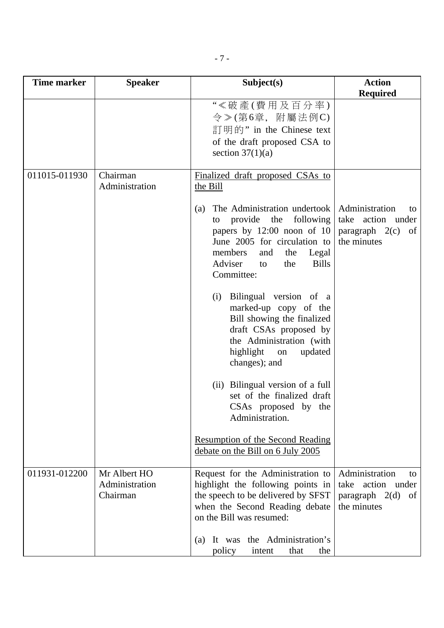| <b>Time marker</b> | <b>Speaker</b>                             | Subject(s)                                                                                                                                                                                                                      | <b>Action</b>                                                                               |
|--------------------|--------------------------------------------|---------------------------------------------------------------------------------------------------------------------------------------------------------------------------------------------------------------------------------|---------------------------------------------------------------------------------------------|
|                    |                                            |                                                                                                                                                                                                                                 | <b>Required</b>                                                                             |
|                    |                                            | "《破產(費用及百分率)<br>$\hat{\varphi}$ > (第6章, 附屬法例C)<br>訂明的" in the Chinese text<br>of the draft proposed CSA to<br>section $37(1)(a)$                                                                                                |                                                                                             |
| 011015-011930      | Chairman<br>Administration                 | Finalized draft proposed CSAs to<br>the Bill                                                                                                                                                                                    |                                                                                             |
|                    |                                            | The Administration undertook<br>(a)<br>provide the<br>following<br>to<br>papers by $12:00$ noon of $10$<br>June 2005 for circulation to<br>members<br>and<br>the<br>Legal<br>Adviser<br><b>Bills</b><br>the<br>to<br>Committee: | Administration<br>to<br>take action under<br>paragraph $2(c)$<br>of<br>the minutes          |
|                    |                                            | Bilingual version of a<br>(i)<br>marked-up copy of the<br>Bill showing the finalized<br>draft CSAs proposed by<br>the Administration (with<br>highlight<br>updated<br>on<br>changes); and                                       |                                                                                             |
|                    |                                            | (ii) Bilingual version of a full<br>set of the finalized draft<br>CSAs proposed by the<br>Administration.                                                                                                                       |                                                                                             |
|                    |                                            | <b>Resumption of the Second Reading</b><br>debate on the Bill on 6 July 2005                                                                                                                                                    |                                                                                             |
| 011931-012200      | Mr Albert HO<br>Administration<br>Chairman | Request for the Administration to<br>highlight the following points in<br>the speech to be delivered by SFST<br>when the Second Reading debate<br>on the Bill was resumed:                                                      | Administration<br>to<br>take<br>action under<br>$paragraph \quad 2(d)$<br>of<br>the minutes |
|                    |                                            | It was the Administration's<br>(a)<br>policy<br>intent<br>that<br>the                                                                                                                                                           |                                                                                             |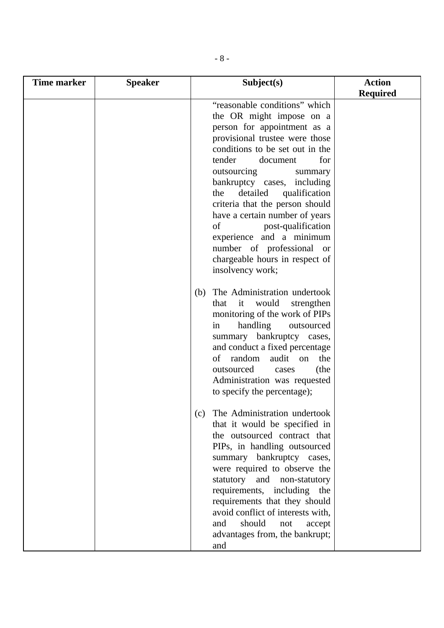| <b>Time marker</b> | <b>Speaker</b> | Subject(s)                                                                                                                                                                                                                                                                                                                                                                                                                                                                          | <b>Action</b>   |
|--------------------|----------------|-------------------------------------------------------------------------------------------------------------------------------------------------------------------------------------------------------------------------------------------------------------------------------------------------------------------------------------------------------------------------------------------------------------------------------------------------------------------------------------|-----------------|
|                    |                |                                                                                                                                                                                                                                                                                                                                                                                                                                                                                     | <b>Required</b> |
|                    |                | "reasonable conditions" which<br>the OR might impose on a<br>person for appointment as a<br>provisional trustee were those<br>conditions to be set out in the<br>tender<br>for<br>document<br>outsourcing<br>summary<br>bankruptcy cases, including<br>detailed<br>qualification<br>the<br>criteria that the person should<br>have a certain number of years<br>of<br>post-qualification<br>experience and a minimum<br>number of professional or<br>chargeable hours in respect of |                 |
|                    |                | insolvency work;<br>The Administration undertook<br>(b)<br>it<br>would<br>that<br>strengthen<br>monitoring of the work of PIPs<br>handling<br>outsourced<br>in<br>summary bankruptcy cases,<br>and conduct a fixed percentage<br>random<br>audit on<br>of<br>the<br>(the<br>outsourced<br>cases<br>Administration was requested<br>to specify the percentage);                                                                                                                      |                 |
|                    |                | The Administration undertook<br>(c)<br>that it would be specified in<br>the outsourced contract that<br>PIPs, in handling outsourced<br>summary bankruptcy cases,<br>were required to observe the<br>statutory and non-statutory<br>requirements, including the<br>requirements that they should<br>avoid conflict of interests with,<br>should<br>and<br>not<br>accept<br>advantages from, the bankrupt;<br>and                                                                    |                 |